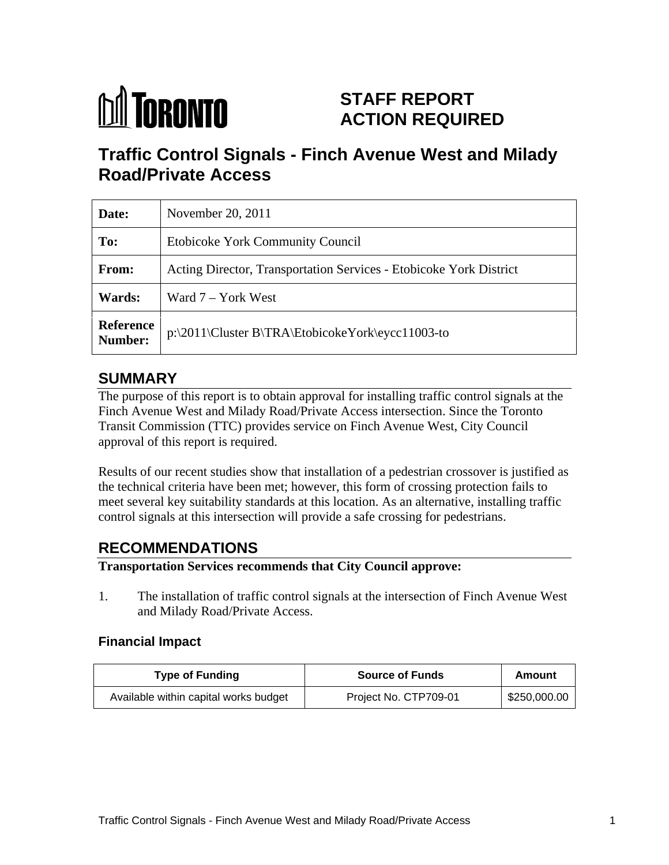

# **STAFF REPORT ACTION REQUIRED**

# **Traffic Control Signals - Finch Avenue West and Milady Road/Private Access**

| Date:         | November 20, 2011                                                  |
|---------------|--------------------------------------------------------------------|
| To:           | <b>Etobicoke York Community Council</b>                            |
| From:         | Acting Director, Transportation Services - Etobicoke York District |
| <b>Wards:</b> | Ward 7 – York West                                                 |
|               | Reference<br>  p:\2011\Cluster B\TRA\EtobicokeYork\eycc11003-to    |

# **SUMMARY**

The purpose of this report is to obtain approval for installing traffic control signals at the Finch Avenue West and Milady Road/Private Access intersection. Since the Toronto Transit Commission (TTC) provides service on Finch Avenue West, City Council approval of this report is required.

Results of our recent studies show that installation of a pedestrian crossover is justified as the technical criteria have been met; however, this form of crossing protection fails to meet several key suitability standards at this location. As an alternative, installing traffic control signals at this intersection will provide a safe crossing for pedestrians.

# **RECOMMENDATIONS**

## **Transportation Services recommends that City Council approve:**

1. The installation of traffic control signals at the intersection of Finch Avenue West and Milady Road/Private Access.

#### **Financial Impact**

| $  -$<br><b>Type of Funding</b>                  | <b>Source of Funds</b> | Amount       |
|--------------------------------------------------|------------------------|--------------|
| vailable within capital works budget<br>$\cdots$ | Project No. CTP709-01  | \$250,000.00 |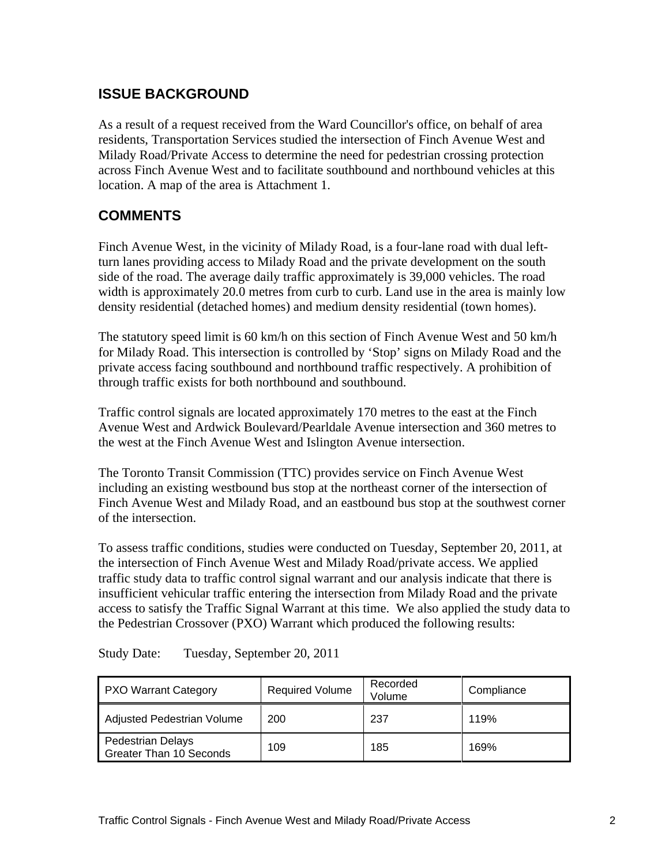## **ISSUE BACKGROUND**

As a result of a request received from the Ward Councillor's office, on behalf of area residents, Transportation Services studied the intersection of Finch Avenue West and Milady Road/Private Access to determine the need for pedestrian crossing protection across Finch Avenue West and to facilitate southbound and northbound vehicles at this location. A map of the area is Attachment 1.

## **COMMENTS**

Finch Avenue West, in the vicinity of Milady Road, is a four-lane road with dual leftturn lanes providing access to Milady Road and the private development on the south side of the road. The average daily traffic approximately is 39,000 vehicles. The road width is approximately 20.0 metres from curb to curb. Land use in the area is mainly low density residential (detached homes) and medium density residential (town homes).

The statutory speed limit is 60 km/h on this section of Finch Avenue West and 50 km/h for Milady Road. This intersection is controlled by 'Stop' signs on Milady Road and the private access facing southbound and northbound traffic respectively. A prohibition of through traffic exists for both northbound and southbound.

Traffic control signals are located approximately 170 metres to the east at the Finch Avenue West and Ardwick Boulevard/Pearldale Avenue intersection and 360 metres to the west at the Finch Avenue West and Islington Avenue intersection.

The Toronto Transit Commission (TTC) provides service on Finch Avenue West including an existing westbound bus stop at the northeast corner of the intersection of Finch Avenue West and Milady Road, and an eastbound bus stop at the southwest corner of the intersection.

To assess traffic conditions, studies were conducted on Tuesday, September 20, 2011, at the intersection of Finch Avenue West and Milady Road/private access. We applied traffic study data to traffic control signal warrant and our analysis indicate that there is insufficient vehicular traffic entering the intersection from Milady Road and the private access to satisfy the Traffic Signal Warrant at this time. We also applied the study data to the Pedestrian Crossover (PXO) Warrant which produced the following results:

| PXO Warrant Category                         |  | Compliance |
|----------------------------------------------|--|------------|
| Adjusted Pedestrian Volume   200             |  |            |
| Pedestrian Delays<br>Greater Than 10 Seconds |  |            |

Study Date: Tuesday, September 20, 2011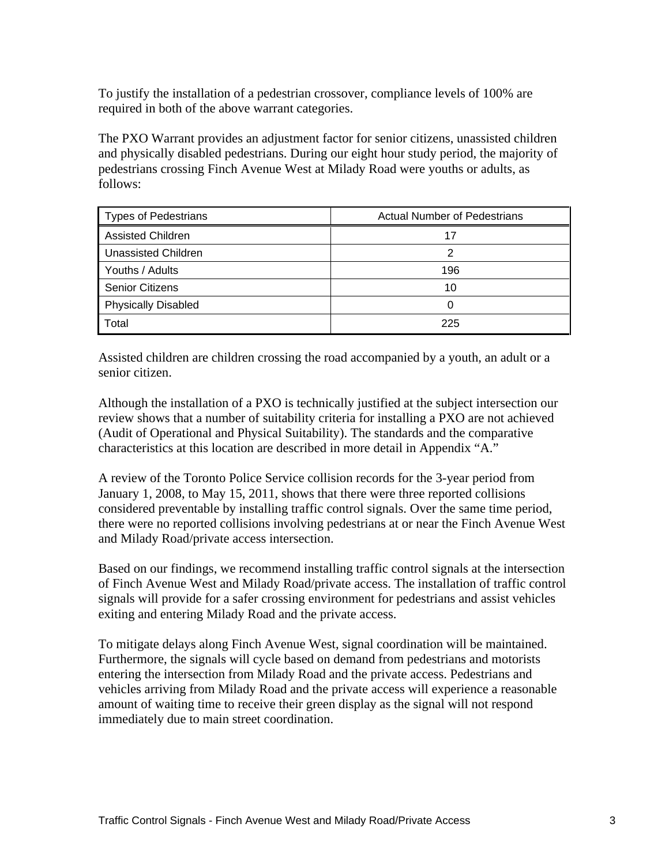To justify the installation of a pedestrian crossover, compliance levels of 100% are required in both of the above warrant categories.

The PXO Warrant provides an adjustment factor for senior citizens, unassisted children and physically disabled pedestrians. During our eight hour study period, the majority of pedestrians crossing Finch Avenue West at Milady Road were youths or adults, as follows:

| Types of Pedestrians       | <b>Actual Number of Pedestrians</b> |
|----------------------------|-------------------------------------|
| <b>Assisted Children</b>   |                                     |
| Unassisted Children        |                                     |
| Youths / Adults            |                                     |
| <b>Senior Citizens</b>     |                                     |
| <b>Physically Disabled</b> |                                     |
| Total                      | 225                                 |

Assisted children are children crossing the road accompanied by a youth, an adult or a senior citizen.

Although the installation of a PXO is technically justified at the subject intersection our review shows that a number of suitability criteria for installing a PXO are not achieved (Audit of Operational and Physical Suitability). The standards and the comparative characteristics at this location are described in more detail in Appendix "A."

A review of the Toronto Police Service collision records for the 3-year period from January 1, 2008, to May 15, 2011, shows that there were three reported collisions considered preventable by installing traffic control signals. Over the same time period, there were no reported collisions involving pedestrians at or near the Finch Avenue West and Milady Road/private access intersection.

Based on our findings, we recommend installing traffic control signals at the intersection of Finch Avenue West and Milady Road/private access. The installation of traffic control signals will provide for a safer crossing environment for pedestrians and assist vehicles exiting and entering Milady Road and the private access.

To mitigate delays along Finch Avenue West, signal coordination will be maintained. Furthermore, the signals will cycle based on demand from pedestrians and motorists entering the intersection from Milady Road and the private access. Pedestrians and vehicles arriving from Milady Road and the private access will experience a reasonable amount of waiting time to receive their green display as the signal will not respond immediately due to main street coordination.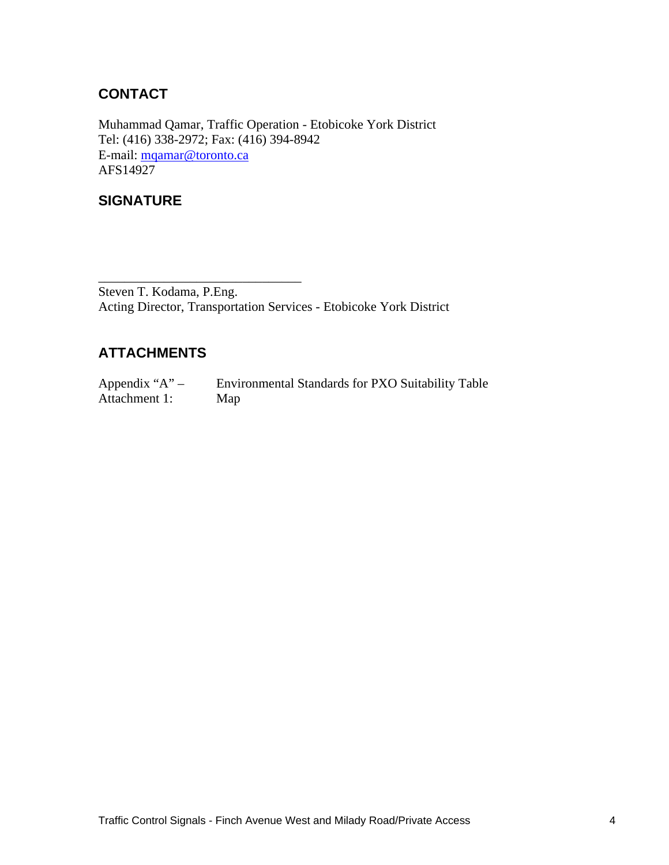# **CONTACT**

Muhammad Qamar, Traffic Operation - Etobicoke York District Tel: (416) 338-2972; Fax: (416) 394-8942 E-mail: mqamar@toronto.ca<br>AFS14927 AFS14927

## **SIGNATURE**

 $\overline{\phantom{a}}$  , we can assume that the contract of  $\overline{\phantom{a}}$  , we can assume that the contract of  $\overline{\phantom{a}}$ Steven T. Kodama, P.Eng. Acting Director, Transportation Services - Etobicoke York District

## **ATTACHMENTS**

Appendix "A" – Environmental Standards for PXO Suitability Table Attachment 1: Map